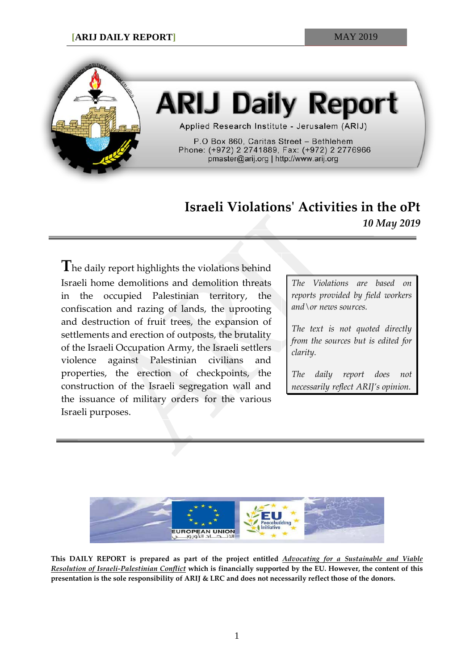

# **ARIJ Daily Report**

Applied Research Institute - Jerusalem (ARIJ)

P.O Box 860, Caritas Street - Bethlehem Phone: (+972) 2 2741889, Fax: (+972) 2 2776966 pmaster@arij.org | http://www.arij.org

## **Israeli Violations' Activities in the oPt** *10 May 2019*

**T**he daily report highlights the violations behind Israeli home demolitions and demolition threats in the occupied Palestinian territory, the confiscation and razing of lands, the uprooting and destruction of fruit trees, the expansion of settlements and erection of outposts, the brutality of the Israeli Occupation Army, the Israeli settlers violence against Palestinian civilians and properties, the erection of checkpoints, the construction of the Israeli segregation wall and the issuance of military orders for the various Israeli purposes.

*The Violations are based on reports provided by field workers and\or news sources.*

*The text is not quoted directly from the sources but is edited for clarity.*

*The daily report does not necessarily reflect ARIJ's opinion.*



**This DAILY REPORT is prepared as part of the project entitled** *Advocating for a Sustainable and Viable Resolution of Israeli-Palestinian Conflict* **which is financially supported by the EU. However, the content of this presentation is the sole responsibility of ARIJ & LRC and does not necessarily reflect those of the donors.**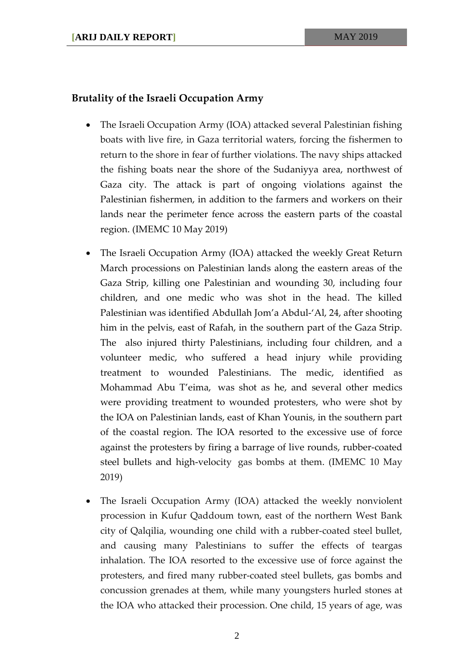### **Brutality of the Israeli Occupation Army**

- The Israeli Occupation Army (IOA) attacked several Palestinian fishing boats with live fire, in Gaza territorial waters, forcing the fishermen to return to the shore in fear of further violations. The navy ships attacked the fishing boats near the shore of the Sudaniyya area, northwest of Gaza city. The attack is part of ongoing violations against the Palestinian fishermen, in addition to the farmers and workers on their lands near the perimeter fence across the eastern parts of the coastal region. (IMEMC 10 May 2019)
- The Israeli Occupation Army (IOA) attacked the weekly Great Return March processions on Palestinian lands along the eastern areas of the Gaza Strip, killing one Palestinian and wounding 30, including four children, and one medic who was shot in the head. The killed Palestinian was identified Abdullah Jom'a Abdul-'Al, 24, after shooting him in the pelvis, east of Rafah, in the southern part of the Gaza Strip. The also injured thirty Palestinians, including four children, and a volunteer medic, who suffered a head injury while providing treatment to wounded Palestinians. The medic, identified as Mohammad Abu T'eima, was shot as he, and several other medics were providing treatment to wounded protesters, who were shot by the IOA on Palestinian lands, east of Khan Younis, in the southern part of the coastal region. The IOA resorted to the excessive use of force against the protesters by firing a barrage of live rounds, rubber-coated steel bullets and high-velocity gas bombs at them. (IMEMC 10 May 2019)
- The Israeli Occupation Army (IOA) attacked the weekly nonviolent procession in Kufur Qaddoum town, east of the northern West Bank city of Qalqilia, wounding one child with a rubber-coated steel bullet, and causing many Palestinians to suffer the effects of teargas inhalation. The IOA resorted to the excessive use of force against the protesters, and fired many rubber-coated steel bullets, gas bombs and concussion grenades at them, while many youngsters hurled stones at the IOA who attacked their procession. One child, 15 years of age, was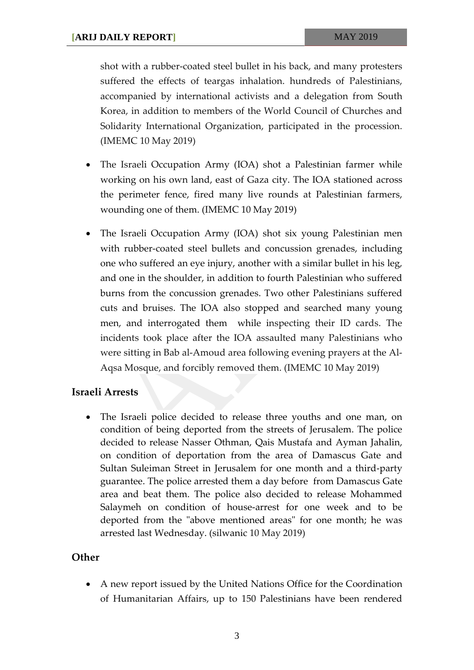shot with a rubber-coated steel bullet in his back, and many protesters suffered the effects of teargas inhalation. hundreds of Palestinians, accompanied by international activists and a delegation from South Korea, in addition to members of the World Council of Churches and Solidarity International Organization, participated in the procession. (IMEMC 10 May 2019)

- The Israeli Occupation Army (IOA) shot a Palestinian farmer while working on his own land, east of Gaza city. The IOA stationed across the perimeter fence, fired many live rounds at Palestinian farmers, wounding one of them. (IMEMC 10 May 2019)
- The Israeli Occupation Army (IOA) shot six young Palestinian men with rubber-coated steel bullets and concussion grenades, including one who suffered an eye injury, another with a similar bullet in his leg, and one in the shoulder, in addition to fourth Palestinian who suffered burns from the concussion grenades. Two other Palestinians suffered cuts and bruises. The IOA also stopped and searched many young men, and interrogated them while inspecting their ID cards. The incidents took place after the IOA assaulted many Palestinians who were sitting in Bab al-Amoud area following evening prayers at the Al-Aqsa Mosque, and forcibly removed them. (IMEMC 10 May 2019)

#### **Israeli Arrests**

• The Israeli police decided to release three youths and one man, on condition of being deported from the streets of Jerusalem. The police decided to release Nasser Othman, Qais Mustafa and Ayman Jahalin, on condition of deportation from the area of Damascus Gate and Sultan Suleiman Street in Jerusalem for one month and a third-party guarantee. The police arrested them a day before from Damascus Gate area and beat them. The police also decided to release Mohammed Salaymeh on condition of house-arrest for one week and to be deported from the "above mentioned areas" for one month; he was arrested last Wednesday. (silwanic 10 May 2019)

#### **Other**

• A new report issued by the United Nations Office for the Coordination of Humanitarian Affairs, up to 150 Palestinians have been rendered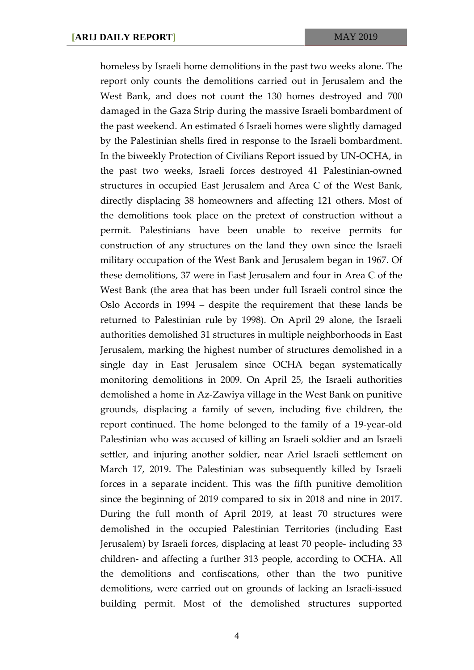homeless by Israeli home demolitions in the past two weeks alone. The report only counts the demolitions carried out in Jerusalem and the West Bank, and does not count the 130 homes destroyed and 700 damaged in the Gaza Strip during the massive Israeli bombardment of the past weekend. An estimated 6 Israeli homes were slightly damaged by the Palestinian shells fired in response to the Israeli bombardment. In the biweekly Protection of Civilians Report issued by UN-OCHA, in the past two weeks, Israeli forces destroyed 41 Palestinian-owned structures in occupied East Jerusalem and Area C of the West Bank, directly displacing 38 homeowners and affecting 121 others. Most of the demolitions took place on the pretext of construction without a permit. Palestinians have been unable to receive permits for construction of any structures on the land they own since the Israeli military occupation of the West Bank and Jerusalem began in 1967. Of these demolitions, 37 were in East Jerusalem and four in Area C of the West Bank (the area that has been under full Israeli control since the Oslo Accords in 1994 – despite the requirement that these lands be returned to Palestinian rule by 1998). On April 29 alone, the Israeli authorities demolished 31 structures in multiple neighborhoods in East Jerusalem, marking the highest number of structures demolished in a single day in East Jerusalem since OCHA began systematically monitoring demolitions in 2009. On April 25, the Israeli authorities demolished a home in Az-Zawiya village in the West Bank on punitive grounds, displacing a family of seven, including five children, the report continued. The home belonged to the family of a 19-year-old Palestinian who was accused of killing an Israeli soldier and an Israeli settler, and injuring another soldier, near Ariel Israeli settlement on March 17, 2019. The Palestinian was subsequently killed by Israeli forces in a separate incident. This was the fifth punitive demolition since the beginning of 2019 compared to six in 2018 and nine in 2017. During the full month of April 2019, at least 70 structures were demolished in the occupied Palestinian Territories (including East Jerusalem) by Israeli forces, displacing at least 70 people- including 33 children- and affecting a further 313 people, according to OCHA. All the demolitions and confiscations, other than the two punitive demolitions, were carried out on grounds of lacking an Israeli-issued building permit. Most of the demolished structures supported